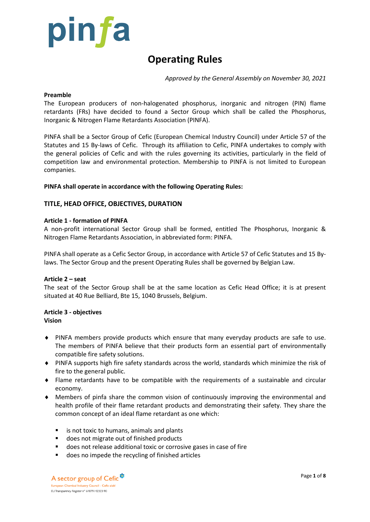

# **Operating Rules**

*Approved by the General Assembly on November 30, 2021*

### **Preamble**

The European producers of non-halogenated phosphorus, inorganic and nitrogen (PIN) flame retardants (FRs) have decided to found a Sector Group which shall be called the Phosphorus, Inorganic & Nitrogen Flame Retardants Association (PINFA).

PINFA shall be a Sector Group of Cefic (European Chemical Industry Council) under Article 57 of the Statutes and 15 By-laws of Cefic. Through its affiliation to Cefic, PINFA undertakes to comply with the general policies of Cefic and with the rules governing its activities, particularly in the field of competition law and environmental protection. Membership to PINFA is not limited to European companies.

# **PINFA shall operate in accordance with the following Operating Rules:**

# **TITLE, HEAD OFFICE, OBJECTIVES, DURATION**

## **Article 1 - formation of PINFA**

A non-profit international Sector Group shall be formed, entitled The Phosphorus, Inorganic & Nitrogen Flame Retardants Association, in abbreviated form: PINFA.

PINFA shall operate as a Cefic Sector Group, in accordance with Article 57 of Cefic Statutes and 15 Bylaws. The Sector Group and the present Operating Rules shall be governed by Belgian Law.

#### **Article 2 – seat**

The seat of the Sector Group shall be at the same location as Cefic Head Office; it is at present situated at 40 Rue Belliard, Bte 15, 1040 Brussels, Belgium.

# **Article 3 - objectives**

**Vision**

- PINFA members provide products which ensure that many everyday products are safe to use. The members of PINFA believe that their products form an essential part of environmentally compatible fire safety solutions.
- PINFA supports high fire safety standards across the world, standards which minimize the risk of fire to the general public.
- Flame retardants have to be compatible with the requirements of a sustainable and circular economy.
- Members of pinfa share the common vision of continuously improving the environmental and health profile of their flame retardant products and demonstrating their safety. They share the common concept of an ideal flame retardant as one which:
	- is not toxic to humans, animals and plants
	- does not migrate out of finished products
	- does not release additional toxic or corrosive gases in case of fire
	- does no impede the recycling of finished articles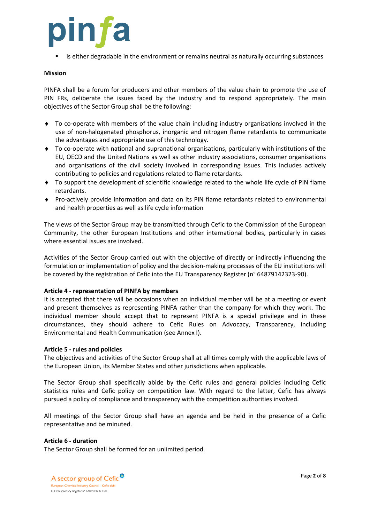

is either degradable in the environment or remains neutral as naturally occurring substances

#### **Mission**

PINFA shall be a forum for producers and other members of the value chain to promote the use of PIN FRs, deliberate the issues faced by the industry and to respond appropriately. The main objectives of the Sector Group shall be the following:

- To co-operate with members of the value chain including industry organisations involved in the use of non-halogenated phosphorus, inorganic and nitrogen flame retardants to communicate the advantages and appropriate use of this technology.
- To co-operate with national and supranational organisations, particularly with institutions of the EU, OECD and the United Nations as well as other industry associations, consumer organisations and organisations of the civil society involved in corresponding issues. This includes actively contributing to policies and regulations related to flame retardants.
- To support the development of scientific knowledge related to the whole life cycle of PIN flame retardants.
- Pro-actively provide information and data on its PIN flame retardants related to environmental and health properties as well as life cycle information

The views of the Sector Group may be transmitted through Cefic to the Commission of the European Community, the other European Institutions and other international bodies, particularly in cases where essential issues are involved.

Activities of the Sector Group carried out with the objective of directly or indirectly influencing the formulation or implementation of policy and the decision-making processes of the EU institutions will be covered by the registration of Cefic into the EU Transparency Register (n° 64879142323-90).

#### **Article 4 - representation of PINFA by members**

It is accepted that there will be occasions when an individual member will be at a meeting or event and present themselves as representing PINFA rather than the company for which they work. The individual member should accept that to represent PINFA is a special privilege and in these circumstances, they should adhere to Cefic Rules on Advocacy, Transparency, including Environmental and Health Communication (see Annex I).

#### **Article 5 - rules and policies**

The objectives and activities of the Sector Group shall at all times comply with the applicable laws of the European Union, its Member States and other jurisdictions when applicable.

The Sector Group shall specifically abide by the Cefic rules and general policies including Cefic statistics rules and Cefic policy on competition law. With regard to the latter, Cefic has always pursued a policy of compliance and transparency with the competition authorities involved.

All meetings of the Sector Group shall have an agenda and be held in the presence of a Cefic representative and be minuted.

#### **Article 6 - duration**

The Sector Group shall be formed for an unlimited period.

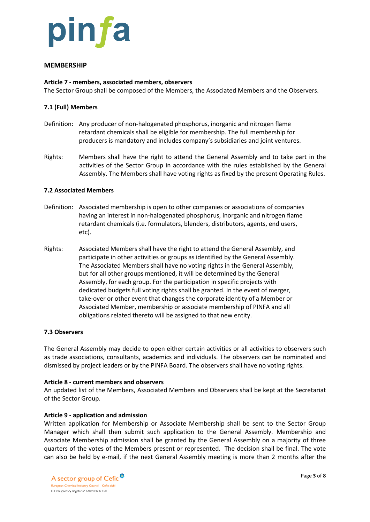

# **MEMBERSHIP**

## **Article 7 - members, associated members, observers**

The Sector Group shall be composed of the Members, the Associated Members and the Observers.

## **7.1 (Full) Members**

- Definition: Any producer of non-halogenated phosphorus, inorganic and nitrogen flame retardant chemicals shall be eligible for membership. The full membership for producers is mandatory and includes company's subsidiaries and joint ventures.
- Rights: Members shall have the right to attend the General Assembly and to take part in the activities of the Sector Group in accordance with the rules established by the General Assembly. The Members shall have voting rights as fixed by the present Operating Rules.

## **7.2 Associated Members**

- Definition: Associated membership is open to other companies or associations of companies having an interest in non-halogenated phosphorus, inorganic and nitrogen flame retardant chemicals (i.e. formulators, blenders, distributors, agents, end users, etc).
- Rights: Associated Members shall have the right to attend the General Assembly, and participate in other activities or groups as identified by the General Assembly. The Associated Members shall have no voting rights in the General Assembly, but for all other groups mentioned, it will be determined by the General Assembly, for each group. For the participation in specific projects with dedicated budgets full voting rights shall be granted. In the event of merger, take-over or other event that changes the corporate identity of a Member or Associated Member, membership or associate membership of PINFA and all obligations related thereto will be assigned to that new entity.

#### **7.3 Observers**

The General Assembly may decide to open either certain activities or all activities to observers such as trade associations, consultants, academics and individuals. The observers can be nominated and dismissed by project leaders or by the PINFA Board. The observers shall have no voting rights.

#### **Article 8 - current members and observers**

An updated list of the Members, Associated Members and Observers shall be kept at the Secretariat of the Sector Group.

#### **Article 9 - application and admission**

Written application for Membership or Associate Membership shall be sent to the Sector Group Manager which shall then submit such application to the General Assembly. Membership and Associate Membership admission shall be granted by the General Assembly on a majority of three quarters of the votes of the Members present or represented. The decision shall be final. The vote can also be held by e-mail, if the next General Assembly meeting is more than 2 months after the

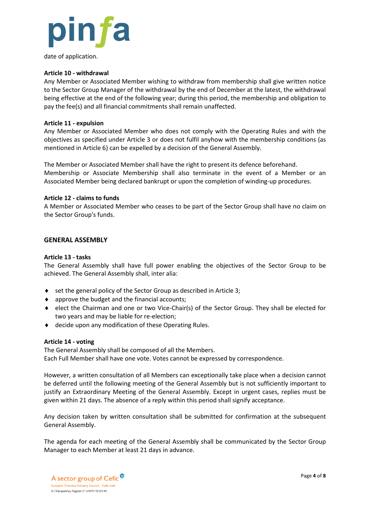

date of application.

# **Article 10 - withdrawal**

Any Member or Associated Member wishing to withdraw from membership shall give written notice to the Sector Group Manager of the withdrawal by the end of December at the latest, the withdrawal being effective at the end of the following year; during this period, the membership and obligation to pay the fee(s) and all financial commitments shall remain unaffected.

### **Article 11 - expulsion**

Any Member or Associated Member who does not comply with the Operating Rules and with the objectives as specified under Article 3 or does not fulfil anyhow with the membership conditions (as mentioned in Article 6) can be expelled by a decision of the General Assembly.

The Member or Associated Member shall have the right to present its defence beforehand. Membership or Associate Membership shall also terminate in the event of a Member or an Associated Member being declared bankrupt or upon the completion of winding-up procedures.

## **Article 12 - claims to funds**

A Member or Associated Member who ceases to be part of the Sector Group shall have no claim on the Sector Group's funds.

## **GENERAL ASSEMBLY**

## **Article 13 - tasks**

The General Assembly shall have full power enabling the objectives of the Sector Group to be achieved. The General Assembly shall, inter alia:

- ◆ set the general policy of the Sector Group as described in Article 3;
- approve the budget and the financial accounts;
- ◆ elect the Chairman and one or two Vice-Chair(s) of the Sector Group. They shall be elected for two years and may be liable for re-election;
- decide upon any modification of these Operating Rules.

#### **Article 14 - voting**

The General Assembly shall be composed of all the Members. Each Full Member shall have one vote. Votes cannot be expressed by correspondence.

However, a written consultation of all Members can exceptionally take place when a decision cannot be deferred until the following meeting of the General Assembly but is not sufficiently important to justify an Extraordinary Meeting of the General Assembly. Except in urgent cases, replies must be given within 21 days. The absence of a reply within this period shall signify acceptance.

Any decision taken by written consultation shall be submitted for confirmation at the subsequent General Assembly.

The agenda for each meeting of the General Assembly shall be communicated by the Sector Group Manager to each Member at least 21 days in advance.

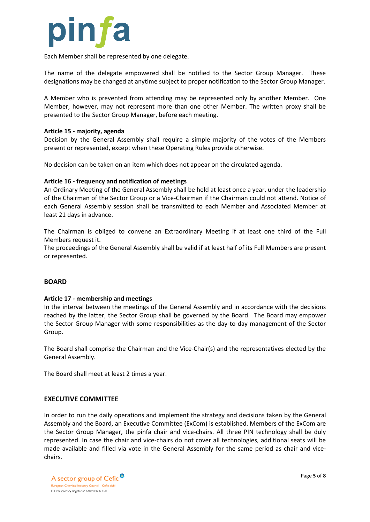

Each Member shall be represented by one delegate.

The name of the delegate empowered shall be notified to the Sector Group Manager. These designations may be changed at anytime subject to proper notification to the Sector Group Manager.

A Member who is prevented from attending may be represented only by another Member. One Member, however, may not represent more than one other Member. The written proxy shall be presented to the Sector Group Manager, before each meeting.

## **Article 15 - majority, agenda**

Decision by the General Assembly shall require a simple majority of the votes of the Members present or represented, except when these Operating Rules provide otherwise.

No decision can be taken on an item which does not appear on the circulated agenda.

## **Article 16 - frequency and notification of meetings**

An Ordinary Meeting of the General Assembly shall be held at least once a year, under the leadership of the Chairman of the Sector Group or a Vice-Chairman if the Chairman could not attend. Notice of each General Assembly session shall be transmitted to each Member and Associated Member at least 21 days in advance.

The Chairman is obliged to convene an Extraordinary Meeting if at least one third of the Full Members request it.

The proceedings of the General Assembly shall be valid if at least half of its Full Members are present or represented.

#### **BOARD**

#### **Article 17 - membership and meetings**

In the interval between the meetings of the General Assembly and in accordance with the decisions reached by the latter, the Sector Group shall be governed by the Board. The Board may empower the Sector Group Manager with some responsibilities as the day-to-day management of the Sector Group.

The Board shall comprise the Chairman and the Vice-Chair(s) and the representatives elected by the General Assembly.

The Board shall meet at least 2 times a year.

# **EXECUTIVE COMMITTEE**

In order to run the daily operations and implement the strategy and decisions taken by the General Assembly and the Board, an Executive Committee (ExCom) is established. Members of the ExCom are the Sector Group Manager, the pinfa chair and vice-chairs. All three PIN technology shall be duly represented. In case the chair and vice-chairs do not cover all technologies, additional seats will be made available and filled via vote in the General Assembly for the same period as chair and vicechairs.

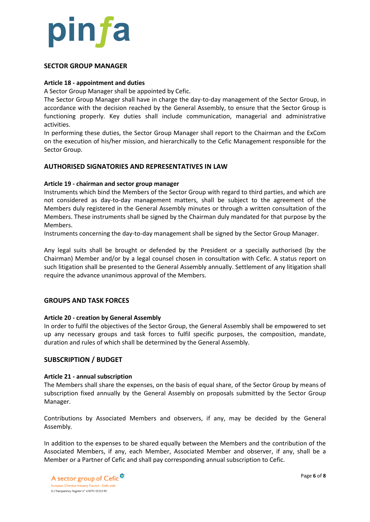

## **SECTOR GROUP MANAGER**

## **Article 18 - appointment and duties**

A Sector Group Manager shall be appointed by Cefic.

The Sector Group Manager shall have in charge the day-to-day management of the Sector Group, in accordance with the decision reached by the General Assembly, to ensure that the Sector Group is functioning properly. Key duties shall include communication, managerial and administrative activities.

In performing these duties, the Sector Group Manager shall report to the Chairman and the ExCom on the execution of his/her mission, and hierarchically to the Cefic Management responsible for the Sector Group.

# **AUTHORISED SIGNATORIES AND REPRESENTATIVES IN LAW**

## **Article 19 - chairman and sector group manager**

Instruments which bind the Members of the Sector Group with regard to third parties, and which are not considered as day-to-day management matters, shall be subject to the agreement of the Members duly registered in the General Assembly minutes or through a written consultation of the Members. These instruments shall be signed by the Chairman duly mandated for that purpose by the **Members** 

Instruments concerning the day-to-day management shall be signed by the Sector Group Manager.

Any legal suits shall be brought or defended by the President or a specially authorised (by the Chairman) Member and/or by a legal counsel chosen in consultation with Cefic. A status report on such litigation shall be presented to the General Assembly annually. Settlement of any litigation shall require the advance unanimous approval of the Members.

# **GROUPS AND TASK FORCES**

#### **Article 20 - creation by General Assembly**

In order to fulfil the objectives of the Sector Group, the General Assembly shall be empowered to set up any necessary groups and task forces to fulfil specific purposes, the composition, mandate, duration and rules of which shall be determined by the General Assembly.

# **SUBSCRIPTION / BUDGET**

#### **Article 21 - annual subscription**

The Members shall share the expenses, on the basis of equal share, of the Sector Group by means of subscription fixed annually by the General Assembly on proposals submitted by the Sector Group Manager.

Contributions by Associated Members and observers, if any, may be decided by the General Assembly*.*

In addition to the expenses to be shared equally between the Members and the contribution of the Associated Members, if any, each Member, Associated Member and observer, if any, shall be a Member or a Partner of Cefic and shall pay corresponding annual subscription to Cefic.

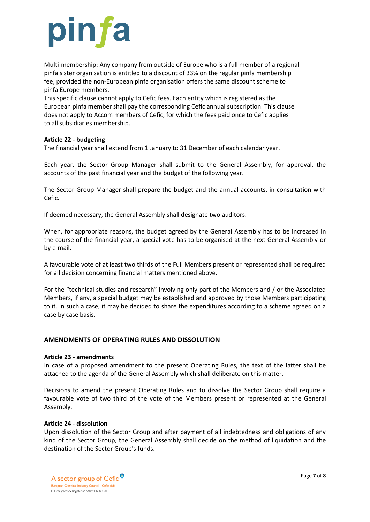

Multi-membership: Any company from outside of Europe who is a full member of a regional pinfa sister organisation is entitled to a discount of 33% on the regular pinfa membership fee, provided the non-European pinfa organisation offers the same discount scheme to pinfa Europe members.

This specific clause cannot apply to Cefic fees. Each entity which is registered as the European pinfa member shall pay the corresponding Cefic annual subscription. This clause does not apply to Accom members of Cefic, for which the fees paid once to Cefic applies to all subsidiaries membership.

# **Article 22 - budgeting**

The financial year shall extend from 1 January to 31 December of each calendar year.

Each year, the Sector Group Manager shall submit to the General Assembly, for approval, the accounts of the past financial year and the budget of the following year.

The Sector Group Manager shall prepare the budget and the annual accounts, in consultation with Cefic.

If deemed necessary, the General Assembly shall designate two auditors.

When, for appropriate reasons, the budget agreed by the General Assembly has to be increased in the course of the financial year, a special vote has to be organised at the next General Assembly or by e-mail.

A favourable vote of at least two thirds of the Full Members present or represented shall be required for all decision concerning financial matters mentioned above.

For the "technical studies and research" involving only part of the Members and / or the Associated Members, if any, a special budget may be established and approved by those Members participating to it. In such a case, it may be decided to share the expenditures according to a scheme agreed on a case by case basis.

# **AMENDMENTS OF OPERATING RULES AND DISSOLUTION**

# **Article 23 - amendments**

In case of a proposed amendment to the present Operating Rules, the text of the latter shall be attached to the agenda of the General Assembly which shall deliberate on this matter.

Decisions to amend the present Operating Rules and to dissolve the Sector Group shall require a favourable vote of two third of the vote of the Members present or represented at the General Assembly.

# **Article 24 - dissolution**

Upon dissolution of the Sector Group and after payment of all indebtedness and obligations of any kind of the Sector Group, the General Assembly shall decide on the method of liquidation and the destination of the Sector Group's funds.